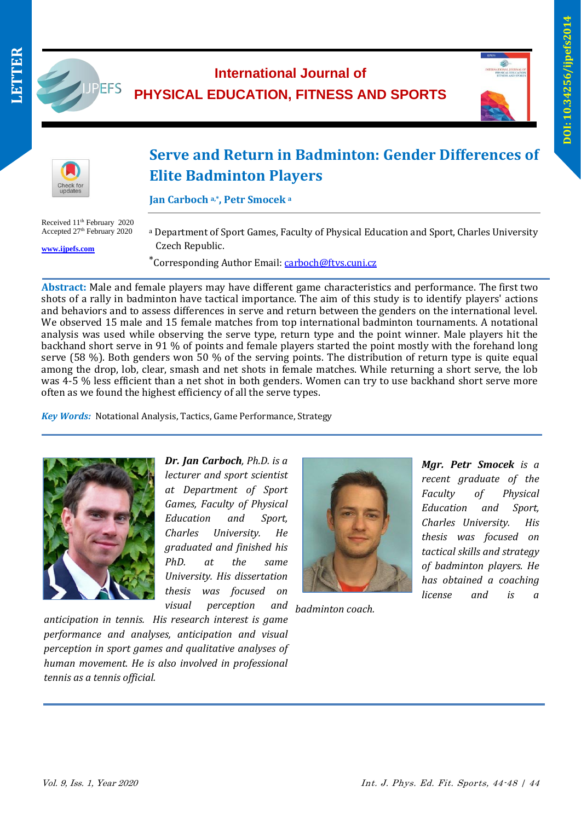

## JUPEFS **International Journal of PHYSICAL EDUCATION, FITNESS AND SPORTS**





# **Serve and Return in Badminton: Gender Differences of Elite Badminton Players**

**Jan Carboch a,\* , Petr Smocek <sup>a</sup>**

Received 11th February 2020 Accepted 27<sup>th</sup> February 2020

**[www.ijpefs.com](http://www.ijpefs.com/)**

<sup>a</sup> Department of Sport Games, Faculty of Physical Education and Sport, Charles University Czech Republic.

\*Corresponding Author Email: [carboch@ftvs.cuni.cz](mailto:carboch@ftvs.cuni.cz)

l **Abstract:** Male and female players may have different game characteristics and performance. The first two shots of a rally in badminton have tactical importance. The aim of this study is to identify players' actions and behaviors and to assess differences in serve and return between the genders on the international level. We observed 15 male and 15 female matches from top international badminton tournaments. A notational analysis was used while observing the serve type, return type and the point winner. Male players hit the backhand short serve in 91 % of points and female players started the point mostly with the forehand long serve (58 %). Both genders won 50 % of the serving points. The distribution of return type is quite equal among the drop, lob, clear, smash and net shots in female matches. While returning a short serve, the lob was 4-5 % less efficient than a net shot in both genders. Women can try to use backhand short serve more often as we found the highest efficiency of all the serve types.

*Key Words:* Notational Analysis, Tactics, Game Performance, Strategy

*anticipation in tennis. His research interest is game performance and analyses, anticipation and visual perception in sport games and qualitative analyses of human movement. He is also involved in professional* 



*Dr. Jan Carboch, Ph.D. is a lecturer and sport scientist at Department of Sport Games, Faculty of Physical Education and Sport, Charles University. He graduated and finished his PhD. at the same University. His dissertation thesis was focused on visual perception* 



*badminton coach.*

*Mgr. Petr Smocek is a recent graduate of the Faculty of Physical Education and Sport, Charles University. His thesis was focused on tactical skills and strategy of badminton players. He has obtained a coaching license and is a* 

*tennis as a tennis official.*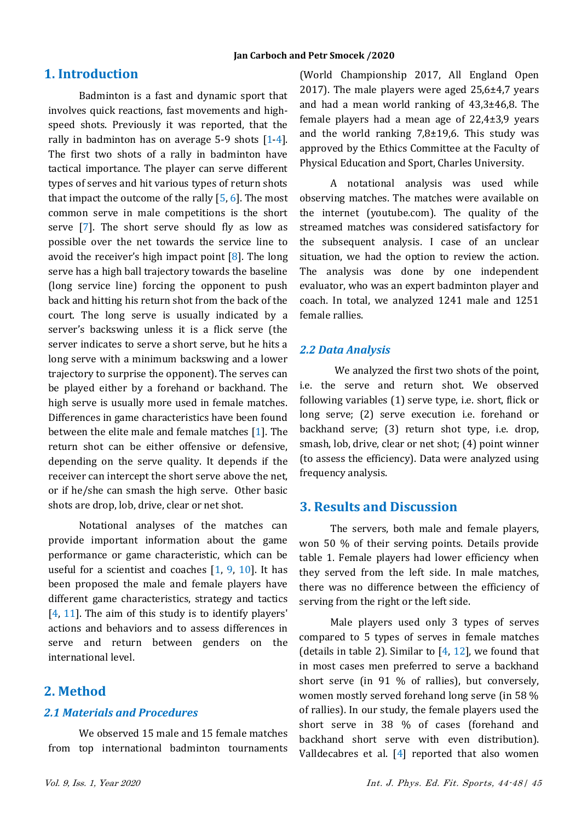# **1. Introduction**

Badminton is a fast and dynamic sport that involves quick reactions, fast movements and highspeed shots. Previously it was reported, that the rally in badminton has on average  $5-9$  shots  $[1-4]$ . The first two shots of a rally in badminton have tactical importance. The player can serve different types of serves and hit various types of return shots that impact the outcome of the rally  $[5, 6]$ . The most common serve in male competitions is the short serve [7]. The short serve should fly as low as possible over the net towards the service line to avoid the receiver's high impact point  $[8]$ . The long serve has a high ball trajectory towards the baseline (long service line) forcing the opponent to push back and hitting his return shot from the back of the court. The long serve is usually indicated by a server's backswing unless it is a flick serve (the server indicates to serve a short serve, but he hits a long serve with a minimum backswing and a lower trajectory to surprise the opponent). The serves can be played either by a forehand or backhand. The high serve is usually more used in female matches. Differences in game characteristics have been found between the elite male and female matches [1]. The return shot can be either offensive or defensive, depending on the serve quality. It depends if the receiver can intercept the short serve above the net, or if he/she can smash the high serve. Other basic shots are drop, lob, drive, clear or net shot.

Notational analyses of the matches can provide important information about the game performance or game characteristic, which can be useful for a scientist and coaches  $[1, 9, 10]$ . It has been proposed the male and female players have different game characteristics, strategy and tactics [4, 11]. The aim of this study is to identify players' actions and behaviors and to assess differences in serve and return between genders on the international level.

## **2. Method**

#### *2.1 Materials and Procedures*

We observed 15 male and 15 female matches from top international badminton tournaments

(World Championship 2017, All England Open 2017). The male players were aged 25,6±4,7 years and had a mean world ranking of 43,3±46,8. The female players had a mean age of 22,4±3,9 years and the world ranking 7,8±19,6. This study was approved by the Ethics Committee at the Faculty of Physical Education and Sport, Charles University.

A notational analysis was used while observing matches. The matches were available on the internet (youtube.com). The quality of the streamed matches was considered satisfactory for the subsequent analysis. I case of an unclear situation, we had the option to review the action. The analysis was done by one independent evaluator, who was an expert badminton player and coach. In total, we analyzed 1241 male and 1251 female rallies.

#### *2.2 Data Analysis*

We analyzed the first two shots of the point, i.e. the serve and return shot. We observed following variables (1) serve type, i.e. short, flick or long serve; (2) serve execution i.e. forehand or backhand serve; (3) return shot type, i.e. drop, smash, lob, drive, clear or net shot; (4) point winner (to assess the efficiency). Data were analyzed using frequency analysis.

## **3. Results and Discussion**

The servers, both male and female players, won 50 % of their serving points. Details provide table 1. Female players had lower efficiency when they served from the left side. In male matches, there was no difference between the efficiency of serving from the right or the left side.

Male players used only 3 types of serves compared to 5 types of serves in female matches (details in table 2). Similar to  $[4, 12]$ , we found that in most cases men preferred to serve a backhand short serve (in 91 % of rallies), but conversely, women mostly served forehand long serve (in 58 % of rallies). In our study, the female players used the short serve in 38 % of cases (forehand and backhand short serve with even distribution). Valldecabres et al.  $[4]$  reported that also women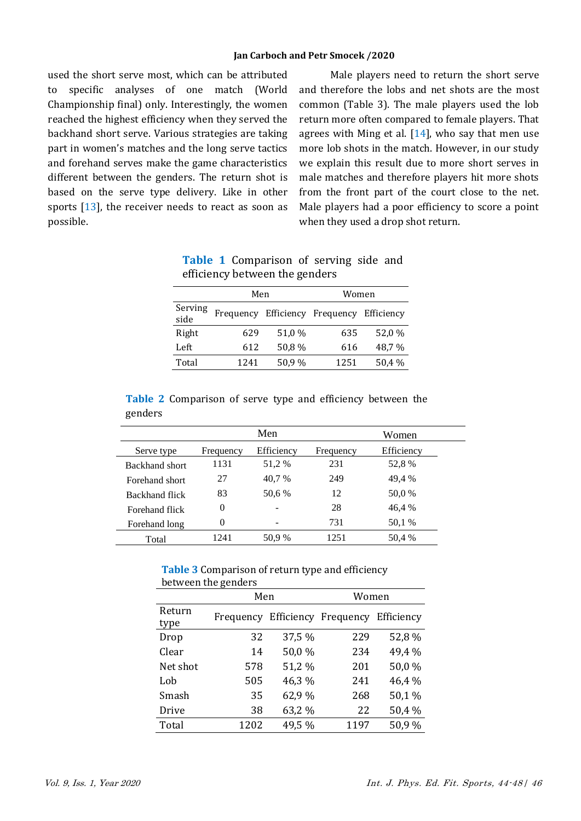used the short serve most, which can be attributed to specific analyses of one match (World Championship final) only. Interestingly, the women reached the highest efficiency when they served the backhand short serve. Various strategies are taking part in women's matches and the long serve tactics and forehand serves make the game characteristics different between the genders. The return shot is based on the serve type delivery. Like in other sports  $[13]$ , the receiver needs to react as soon as possible.

Male players need to return the short serve and therefore the lobs and net shots are the most common (Table 3). The male players used the lob return more often compared to female players. That agrees with Ming et al. [14], who say that men use more lob shots in the match. However, in our study we explain this result due to more short serves in male matches and therefore players hit more shots from the front part of the court close to the net. Male players had a poor efficiency to score a point when they used a drop shot return.

| efficiency between the genders |           |        |                      |            |  |  |
|--------------------------------|-----------|--------|----------------------|------------|--|--|
|                                | Men       |        | Women                |            |  |  |
| Serving<br>side                | Frequency |        | Efficiency Frequency | Efficiency |  |  |
| Right                          | 629       | 51,0 % | 635                  | 52,0 %     |  |  |
| Left                           | 612       | 50,8%  | 616                  | 48.7 %     |  |  |
| Total                          | 1241      | 50,9%  | 1251                 | 50,4 %     |  |  |

**Table 1** Comparison of serving side and  $f$ fficiency between the  $\frac{1}{2}$ 

|         | <b>Table 2</b> Comparison of serve type and efficiency between the |  |  |  |  |
|---------|--------------------------------------------------------------------|--|--|--|--|
| genders |                                                                    |  |  |  |  |

|                |           | Men        |           | Women      |
|----------------|-----------|------------|-----------|------------|
| Serve type     | Frequency | Efficiency | Frequency | Efficiency |
| Backhand short | 1131      | 51,2 %     | 231       | 52,8%      |
| Forehand short | 27        | 40.7 %     | 249       | 49,4 %     |
| Backhand flick | 83        | 50.6 %     | 12        | 50,0 %     |
| Forehand flick | $\Omega$  |            | 28        | 46,4 %     |
| Forehand long  | $\Omega$  |            | 731       | 50,1 %     |
| Total          | 1241      | 50.9 %     | 1251      | 50,4 %     |

**Table 3** Comparison of return type and efficiency between the genders

|                | Men  |        | Women                          |            |  |
|----------------|------|--------|--------------------------------|------------|--|
| Return<br>type |      |        | Frequency Efficiency Frequency | Efficiency |  |
| Drop           | 32   | 37,5 % | 229                            | 52,8%      |  |
| Clear          | 14   | 50,0%  | 234                            | 49,4 %     |  |
| Net shot       | 578  | 51,2 % | 201                            | 50,0%      |  |
| Lob            | 505  | 46,3%  | 241                            | 46,4 %     |  |
| Smash          | 35   | 62,9%  | 268                            | 50,1%      |  |
| Drive          | 38   | 63,2 % | 22                             | 50,4%      |  |
| Total          | 1202 | 49,5 % | 1197                           | 50,9%      |  |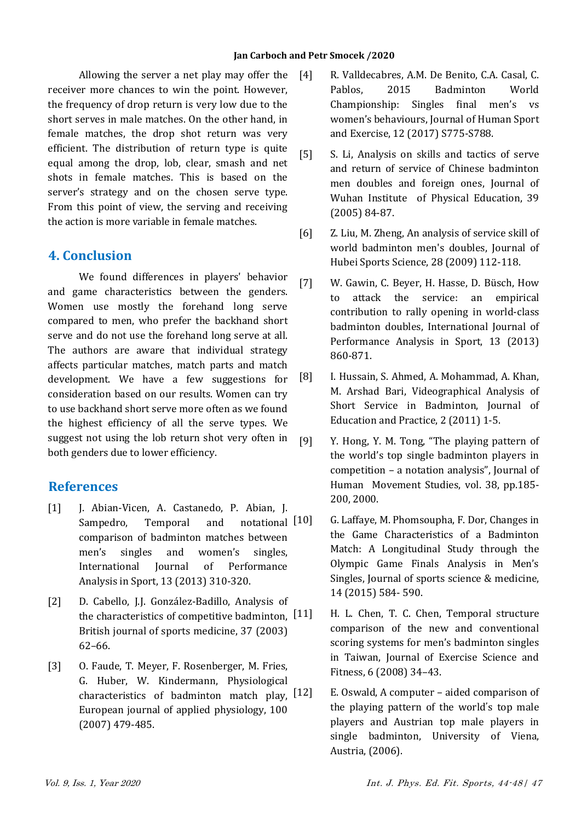#### **Jan Carboch and Petr Smocek /2020**

Allowing the server a net play may offer the receiver more chances to win the point. However, the frequency of drop return is very low due to the short serves in male matches. On the other hand, in female matches, the drop shot return was very efficient. The distribution of return type is quite equal among the drop, lob, clear, smash and net shots in female matches. This is based on the server's strategy and on the chosen serve type. From this point of view, the serving and receiving the action is more variable in female matches.

# **4. Conclusion**

We found differences in players' behavior and game characteristics between the genders. Women use mostly the forehand long serve compared to men, who prefer the backhand short serve and do not use the forehand long serve at all. The authors are aware that individual strategy affects particular matches, match parts and match development. We have a few suggestions for consideration based on our results. Women can try to use backhand short serve more often as we found the highest efficiency of all the serve types. We suggest not using the lob return shot very often in both genders due to lower efficiency.

# **References**

- [1] J. Abian-Vicen, A. Castanedo, P. Abian, J. Sampedro, Temporal and notational [10] comparison of badminton matches between men's singles and women's singles, International Journal of Performance Analysis in Sport, 13 (2013) 310-320.
- [2] D. Cabello, J.J. González-Badillo, Analysis of the characteristics of competitive badminton,  $[11]$ British journal of sports medicine, 37 (2003) 62–66.
- [3] O. Faude, T. Meyer, F. Rosenberger, M. Fries, G. Huber, W. Kindermann, Physiological characteristics of badminton match play,  $[12]$ European journal of applied physiology, 100 (2007) 479-485.
- [4] R. Valldecabres, A.M. De Benito, C.A. Casal, C. Pablos, 2015 Badminton World Championship: Singles final men's vs women's behaviours, Journal of Human Sport and Exercise, 12 (2017) S775-S788.
	- [5] S. Li, Analysis on skills and tactics of serve and return of service of Chinese badminton men doubles and foreign ones, Journal of Wuhan Institute of Physical Education, 39 (2005) 84-87.
	- [6] Z. Liu, M. Zheng, An analysis of service skill of world badminton men's doubles, Journal of Hubei Sports Science, 28 (2009) 112-118.
	- [7] W. Gawin, C. Beyer, H. Hasse, D. Büsch, How to attack the service: an empirical contribution to rally opening in world-class badminton doubles, International Journal of Performance Analysis in Sport, 13 (2013) 860-871.
	- [8] I. Hussain, S. Ahmed, A. Mohammad, A. Khan, M. Arshad Bari, Videographical Analysis of Short Service in Badminton, Journal of Education and Practice, 2 (2011) 1-5.
	- [9] Y. Hong, Y. M. Tong, "The playing pattern of the world's top single badminton players in competition – a notation analysis", Journal of Human Movement Studies, vol. 38, pp.185- 200, 2000.
		- [10] G. Laffaye, M. Phomsoupha, F. Dor, Changes in the Game Characteristics of a Badminton Match: A Longitudinal Study through the Olympic Game Finals Analysis in Men's Singles, Journal of sports science & medicine, 14 (2015) 584- 590.
			- H. L. Chen, T. C. Chen, Temporal structure comparison of the new and conventional scoring systems for men's badminton singles in Taiwan, Journal of Exercise Science and Fitness, 6 (2008) 34–43.
			- E. Oswald, A computer aided comparison of the playing pattern of the world's top male players and Austrian top male players in single badminton, University of Viena, Austria, (2006).